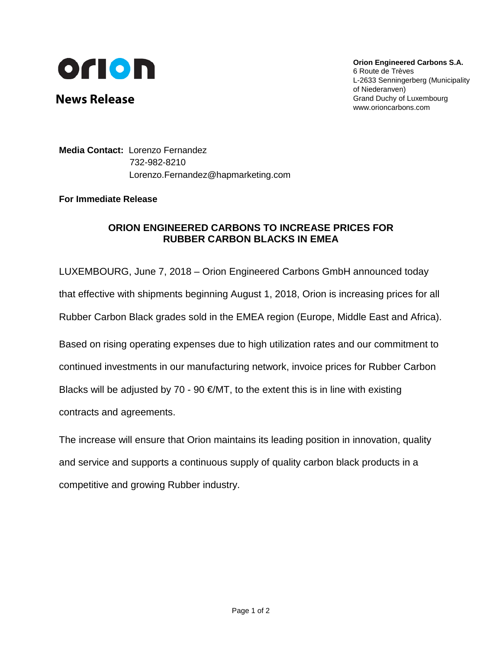

**News Release**

**Orion Engineered Carbons S.A.** 6 Route de Trèves L-2633 Senningerberg (Municipality of Niederanven) Grand Duchy of Luxembourg www.orioncarbons.com

**Media Contact:** Lorenzo Fernandez 732-982-8210 Lorenzo.Fernandez@hapmarketing.com

## **For Immediate Release**

## **ORION ENGINEERED CARBONS TO INCREASE PRICES FOR RUBBER CARBON BLACKS IN EMEA**

LUXEMBOURG, June 7, 2018 – Orion Engineered Carbons GmbH announced today

that effective with shipments beginning August 1, 2018, Orion is increasing prices for all

Rubber Carbon Black grades sold in the EMEA region (Europe, Middle East and Africa).

Based on rising operating expenses due to high utilization rates and our commitment to continued investments in our manufacturing network, invoice prices for Rubber Carbon Blacks will be adjusted by 70 - 90  $\epsilon$ /MT, to the extent this is in line with existing contracts and agreements.

The increase will ensure that Orion maintains its leading position in innovation, quality and service and supports a continuous supply of quality carbon black products in a competitive and growing Rubber industry.